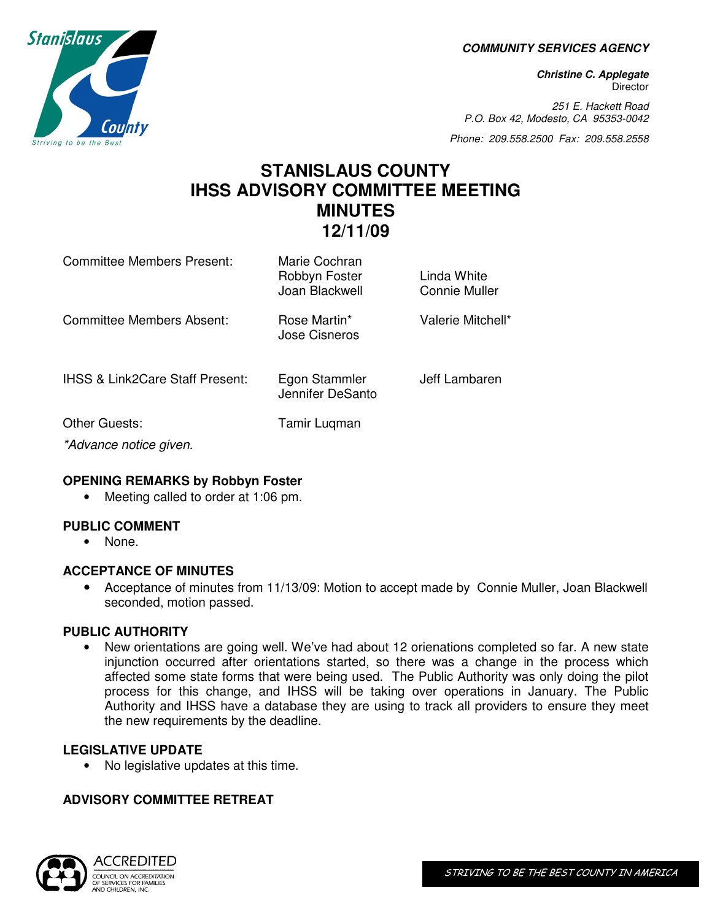**COMMUNITY SERVICES AGENCY** 

**Christine C. Applegate Director** 

251 E. Hackett Road P.O. Box 42, Modesto, CA 95353-0042

Phone: 209.558.2500 Fax: 209.558.2558

# **STANISLAUS COUNTY IHSS ADVISORY COMMITTEE MEETING MINUTES 12/11/09**

| Committee Members Present:                 | Marie Cochran<br>Robbyn Foster<br>Joan Blackwell | Linda White<br>Connie Muller |
|--------------------------------------------|--------------------------------------------------|------------------------------|
| Committee Members Absent:                  | Rose Martin*<br>Jose Cisneros                    | Valerie Mitchell*            |
| <b>IHSS &amp; Link2Care Staff Present:</b> | Egon Stammler<br>Jennifer DeSanto                | Jeff Lambaren                |
| Other Guests:                              | Tamir Lugman                                     |                              |
| *Advance notice given.                     |                                                  |                              |

#### **OPENING REMARKS by Robbyn Foster**

• Meeting called to order at 1:06 pm.

## **PUBLIC COMMENT**

• None.

#### **ACCEPTANCE OF MINUTES**

• Acceptance of minutes from 11/13/09: Motion to accept made by Connie Muller, Joan Blackwell seconded, motion passed.

#### **PUBLIC AUTHORITY**

• New orientations are going well. We've had about 12 orienations completed so far. A new state injunction occurred after orientations started, so there was a change in the process which affected some state forms that were being used. The Public Authority was only doing the pilot process for this change, and IHSS will be taking over operations in January. The Public Authority and IHSS have a database they are using to track all providers to ensure they meet the new requirements by the deadline.

#### **LEGISLATIVE UPDATE**

• No legislative updates at this time.

## **ADVISORY COMMITTEE RETREAT**